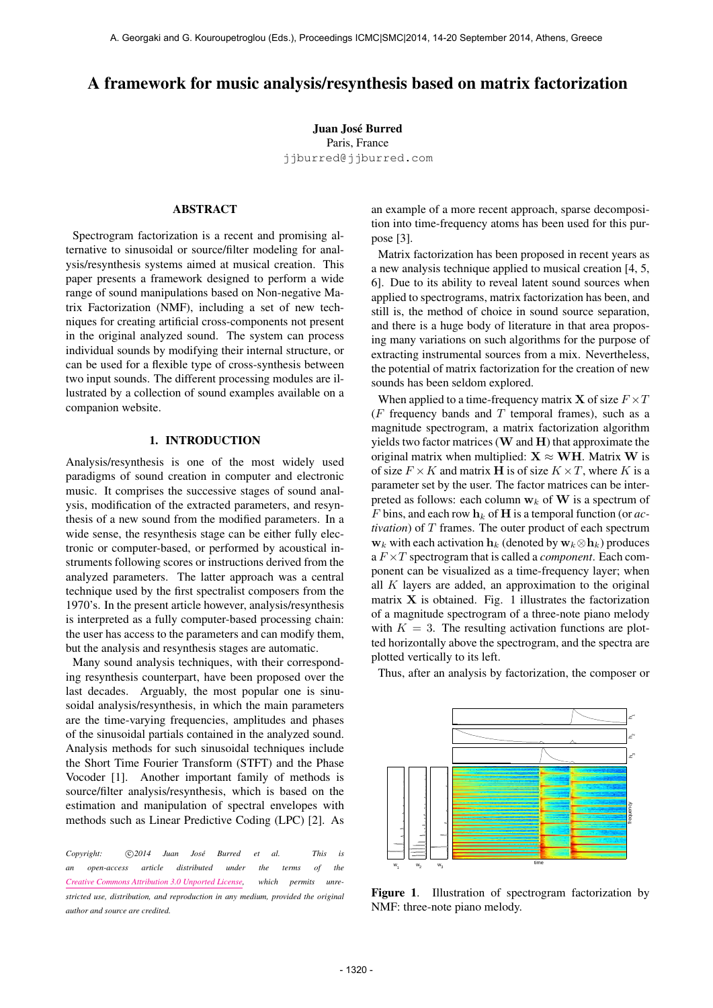# A framework for music analysis/resynthesis based on matrix factorization

Juan José Burred Paris, France [jjburred@jjburred.com](mailto:jjburred@jjburred.com)

## ABSTRACT

Spectrogram factorization is a recent and promising alternative to sinusoidal or source/filter modeling for analysis/resynthesis systems aimed at musical creation. This paper presents a framework designed to perform a wide range of sound manipulations based on Non-negative Matrix Factorization (NMF), including a set of new techniques for creating artificial cross-components not present in the original analyzed sound. The system can process individual sounds by modifying their internal structure, or can be used for a flexible type of cross-synthesis between two input sounds. The different processing modules are illustrated by a collection of sound examples available on a companion website.

## 1. INTRODUCTION

Analysis/resynthesis is one of the most widely used paradigms of sound creation in computer and electronic music. It comprises the successive stages of sound analysis, modification of the extracted parameters, and resynthesis of a new sound from the modified parameters. In a wide sense, the resynthesis stage can be either fully electronic or computer-based, or performed by acoustical instruments following scores or instructions derived from the analyzed parameters. The latter approach was a central technique used by the first spectralist composers from the 1970's. In the present article however, analysis/resynthesis is interpreted as a fully computer-based processing chain: the user has access to the parameters and can modify them, but the analysis and resynthesis stages are automatic.

Many sound analysis techniques, with their corresponding resynthesis counterpart, have been proposed over the last decades. Arguably, the most popular one is sinusoidal analysis/resynthesis, in which the main parameters are the time-varying frequencies, amplitudes and phases of the sinusoidal partials contained in the analyzed sound. Analysis methods for such sinusoidal techniques include the Short Time Fourier Transform (STFT) and the Phase Vocoder [1]. Another important family of methods is source/filter analysis/resynthesis, which is based on the estimation and manipulation of spectral envelopes with methods such as Linear Predictive Coding (LPC) [2]. As

*Copyright:*  $\bigcirc$  2014 Juan José Burred et al. This is *an open-access article distributed under the terms of the [Creative Commons Attribution 3.0 Unported License,](http://creativecommons.org/licenses/by/3.0/) which permits unrestricted use, distribution, and reproduction in any medium, provided the original author and source are credited.*

an example of a more recent approach, sparse decomposition into time-frequency atoms has been used for this purpose [3].

Matrix factorization has been proposed in recent years as a new analysis technique applied to musical creation [4, 5, 6]. Due to its ability to reveal latent sound sources when applied to spectrograms, matrix factorization has been, and still is, the method of choice in sound source separation, and there is a huge body of literature in that area proposing many variations on such algorithms for the purpose of extracting instrumental sources from a mix. Nevertheless, the potential of matrix factorization for the creation of new sounds has been seldom explored.

When applied to a time-frequency matrix **X** of size  $F \times T$ ( $F$  frequency bands and  $T$  temporal frames), such as a magnitude spectrogram, a matrix factorization algorithm yields two factor matrices  $(W \text{ and } H)$  that approximate the original matrix when multiplied:  $X \approx WH$ . Matrix W is of size  $F \times K$  and matrix **H** is of size  $K \times T$ , where K is a parameter set by the user. The factor matrices can be interpreted as follows: each column  $w_k$  of W is a spectrum of F bins, and each row  $h_k$  of **H** is a temporal function (or *activation*) of T frames. The outer product of each spectrum  $\mathbf{w}_k$  with each activation  $\mathbf{h}_k$  (denoted by  $\mathbf{w}_k \otimes \mathbf{h}_k$ ) produces a F ×T spectrogram that is called a *component*. Each component can be visualized as a time-frequency layer; when all  $K$  layers are added, an approximation to the original matrix  $X$  is obtained. Fig. 1 illustrates the factorization of a magnitude spectrogram of a three-note piano melody with  $K = 3$ . The resulting activation functions are plotted horizontally above the spectrogram, and the spectra are plotted vertically to its left.



Thus, after an analysis by factorization, the composer or

Figure 1. Illustration of spectrogram factorization by NMF: three-note piano melody.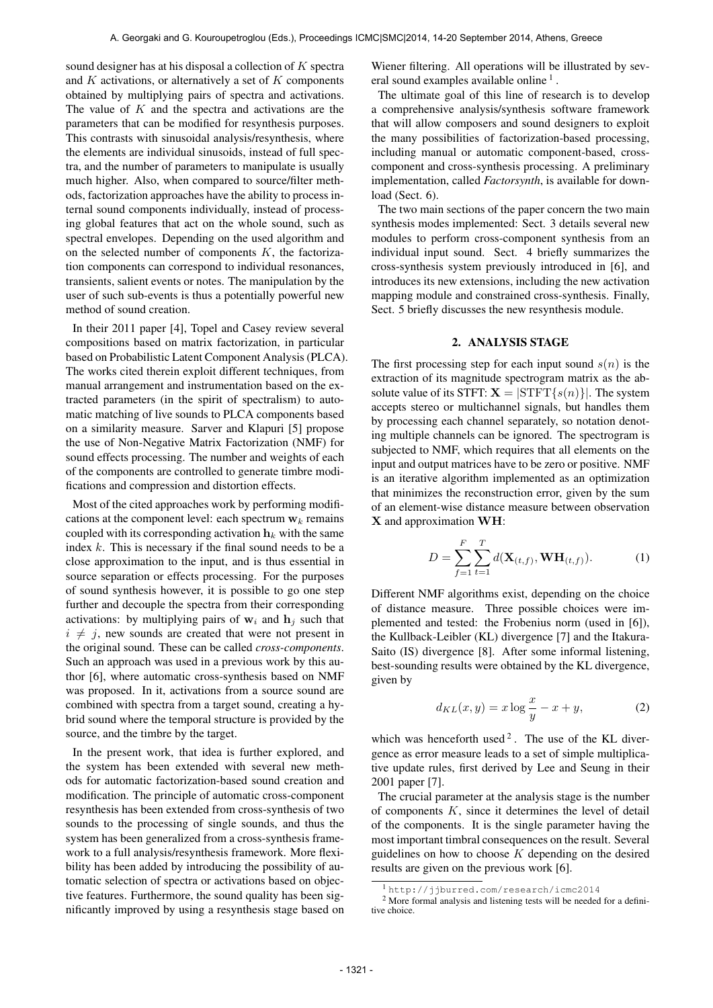sound designer has at his disposal a collection of  $K$  spectra and  $K$  activations, or alternatively a set of  $K$  components obtained by multiplying pairs of spectra and activations. The value of  $K$  and the spectra and activations are the parameters that can be modified for resynthesis purposes. This contrasts with sinusoidal analysis/resynthesis, where the elements are individual sinusoids, instead of full spectra, and the number of parameters to manipulate is usually much higher. Also, when compared to source/filter methods, factorization approaches have the ability to process internal sound components individually, instead of processing global features that act on the whole sound, such as spectral envelopes. Depending on the used algorithm and on the selected number of components  $K$ , the factorization components can correspond to individual resonances, transients, salient events or notes. The manipulation by the user of such sub-events is thus a potentially powerful new method of sound creation.

In their 2011 paper [4], Topel and Casey review several compositions based on matrix factorization, in particular based on Probabilistic Latent Component Analysis (PLCA). The works cited therein exploit different techniques, from manual arrangement and instrumentation based on the extracted parameters (in the spirit of spectralism) to automatic matching of live sounds to PLCA components based on a similarity measure. Sarver and Klapuri [5] propose the use of Non-Negative Matrix Factorization (NMF) for sound effects processing. The number and weights of each of the components are controlled to generate timbre modifications and compression and distortion effects.

Most of the cited approaches work by performing modifications at the component level: each spectrum  $w_k$  remains coupled with its corresponding activation  $h_k$  with the same index  $k$ . This is necessary if the final sound needs to be a close approximation to the input, and is thus essential in source separation or effects processing. For the purposes of sound synthesis however, it is possible to go one step further and decouple the spectra from their corresponding activations: by multiplying pairs of  $w_i$  and  $h_j$  such that  $i \neq j$ , new sounds are created that were not present in the original sound. These can be called *cross-components*. Such an approach was used in a previous work by this author [6], where automatic cross-synthesis based on NMF was proposed. In it, activations from a source sound are combined with spectra from a target sound, creating a hybrid sound where the temporal structure is provided by the source, and the timbre by the target.

In the present work, that idea is further explored, and the system has been extended with several new methods for automatic factorization-based sound creation and modification. The principle of automatic cross-component resynthesis has been extended from cross-synthesis of two sounds to the processing of single sounds, and thus the system has been generalized from a cross-synthesis framework to a full analysis/resynthesis framework. More flexibility has been added by introducing the possibility of automatic selection of spectra or activations based on objective features. Furthermore, the sound quality has been significantly improved by using a resynthesis stage based on Wiener filtering. All operations will be illustrated by several sound examples available online<sup>1</sup>.

The ultimate goal of this line of research is to develop a comprehensive analysis/synthesis software framework that will allow composers and sound designers to exploit the many possibilities of factorization-based processing, including manual or automatic component-based, crosscomponent and cross-synthesis processing. A preliminary implementation, called *Factorsynth*, is available for download (Sect. 6).

The two main sections of the paper concern the two main synthesis modes implemented: Sect. 3 details several new modules to perform cross-component synthesis from an individual input sound. Sect. 4 briefly summarizes the cross-synthesis system previously introduced in [6], and introduces its new extensions, including the new activation mapping module and constrained cross-synthesis. Finally, Sect. 5 briefly discusses the new resynthesis module.

## 2. ANALYSIS STAGE

The first processing step for each input sound  $s(n)$  is the extraction of its magnitude spectrogram matrix as the absolute value of its STFT:  $X = |SIFT\{s(n)\}|$ . The system accepts stereo or multichannel signals, but handles them by processing each channel separately, so notation denoting multiple channels can be ignored. The spectrogram is subjected to NMF, which requires that all elements on the input and output matrices have to be zero or positive. NMF is an iterative algorithm implemented as an optimization that minimizes the reconstruction error, given by the sum of an element-wise distance measure between observation X and approximation WH:

$$
D = \sum_{f=1}^{F} \sum_{t=1}^{T} d(\mathbf{X}_{(t,f)}, \mathbf{W} \mathbf{H}_{(t,f)}).
$$
 (1)

Different NMF algorithms exist, depending on the choice of distance measure. Three possible choices were implemented and tested: the Frobenius norm (used in [6]), the Kullback-Leibler (KL) divergence [7] and the Itakura-Saito (IS) divergence [8]. After some informal listening, best-sounding results were obtained by the KL divergence, given by

$$
d_{KL}(x, y) = x \log \frac{x}{y} - x + y,\tag{2}
$$

which was henceforth used<sup>2</sup>. The use of the KL divergence as error measure leads to a set of simple multiplicative update rules, first derived by Lee and Seung in their 2001 paper [7].

The crucial parameter at the analysis stage is the number of components  $K$ , since it determines the level of detail of the components. It is the single parameter having the most important timbral consequences on the result. Several guidelines on how to choose  $K$  depending on the desired results are given on the previous work [6].

<sup>1</sup> <http://jjburred.com/research/icmc2014>

<sup>2</sup> More formal analysis and listening tests will be needed for a definitive choice.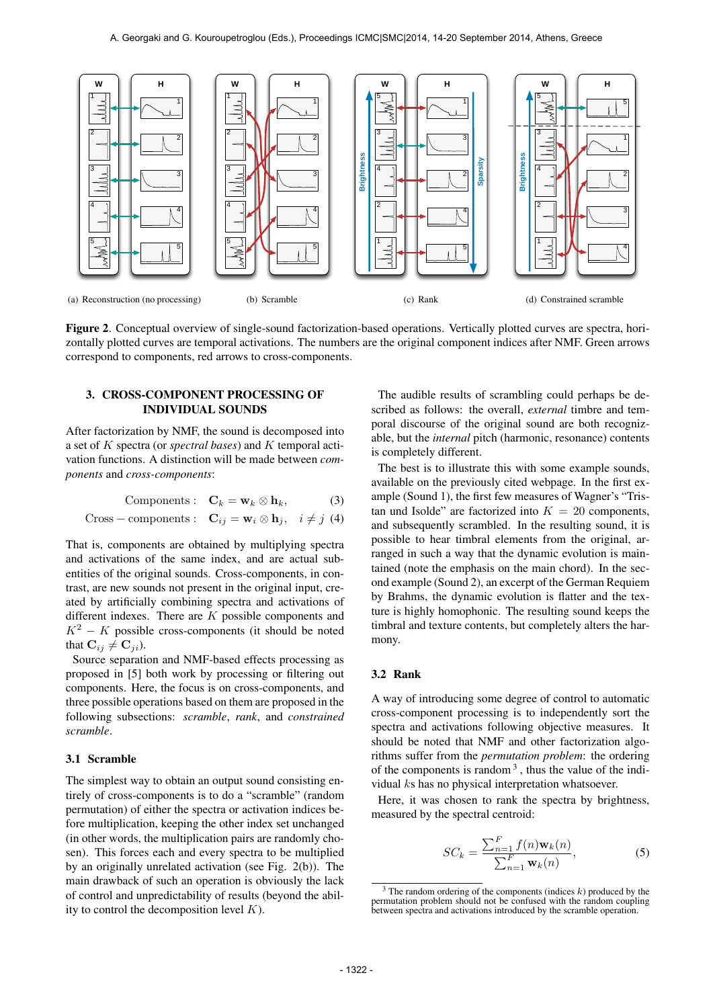

Figure 2. Conceptual overview of single-sound factorization-based operations. Vertically plotted curves are spectra, horizontally plotted curves are temporal activations. The numbers are the original component indices after NMF. Green arrows correspond to components, red arrows to cross-components.

## 3. CROSS-COMPONENT PROCESSING OF INDIVIDUAL SOUNDS

After factorization by NMF, the sound is decomposed into a set of K spectra (or *spectral bases*) and K temporal activation functions. A distinction will be made between *components* and *cross-components*:

$$
Components: \quad \mathbf{C}_k = \mathbf{w}_k \otimes \mathbf{h}_k, \tag{3}
$$

Cross – components: 
$$
\mathbf{C}_{ij} = \mathbf{w}_i \otimes \mathbf{h}_j
$$
,  $i \neq j$  (4)

That is, components are obtained by multiplying spectra and activations of the same index, and are actual subentities of the original sounds. Cross-components, in contrast, are new sounds not present in the original input, created by artificially combining spectra and activations of different indexes. There are  $K$  possible components and  $K^2 - K$  possible cross-components (it should be noted that  $\mathbf{C}_{ij} \neq \mathbf{C}_{ji}$ ).

Source separation and NMF-based effects processing as proposed in [5] both work by processing or filtering out components. Here, the focus is on cross-components, and three possible operations based on them are proposed in the following subsections: *scramble*, *rank*, and *constrained scramble*.

## 3.1 Scramble

The simplest way to obtain an output sound consisting entirely of cross-components is to do a "scramble" (random permutation) of either the spectra or activation indices before multiplication, keeping the other index set unchanged (in other words, the multiplication pairs are randomly chosen). This forces each and every spectra to be multiplied by an originally unrelated activation (see Fig. 2(b)). The main drawback of such an operation is obviously the lack of control and unpredictability of results (beyond the ability to control the decomposition level  $K$ ).

The audible results of scrambling could perhaps be described as follows: the overall, *external* timbre and temporal discourse of the original sound are both recognizable, but the *internal* pitch (harmonic, resonance) contents is completely different.

The best is to illustrate this with some example sounds, available on the previously cited webpage. In the first example (Sound 1), the first few measures of Wagner's "Tristan und Isolde" are factorized into  $K = 20$  components, and subsequently scrambled. In the resulting sound, it is possible to hear timbral elements from the original, arranged in such a way that the dynamic evolution is maintained (note the emphasis on the main chord). In the second example (Sound 2), an excerpt of the German Requiem by Brahms, the dynamic evolution is flatter and the texture is highly homophonic. The resulting sound keeps the timbral and texture contents, but completely alters the harmony.

## 3.2 Rank

A way of introducing some degree of control to automatic cross-component processing is to independently sort the spectra and activations following objective measures. It should be noted that NMF and other factorization algorithms suffer from the *permutation problem*: the ordering of the components is random  $3$ , thus the value of the individual ks has no physical interpretation whatsoever.

Here, it was chosen to rank the spectra by brightness, measured by the spectral centroid:

$$
SC_k = \frac{\sum_{n=1}^{F} f(n) \mathbf{w}_k(n)}{\sum_{n=1}^{F} \mathbf{w}_k(n)},
$$
(5)

 $3$  The random ordering of the components (indices  $k$ ) produced by the permutation problem should not be confused with the random coupling between spectra and activations introduced by the scramble operation.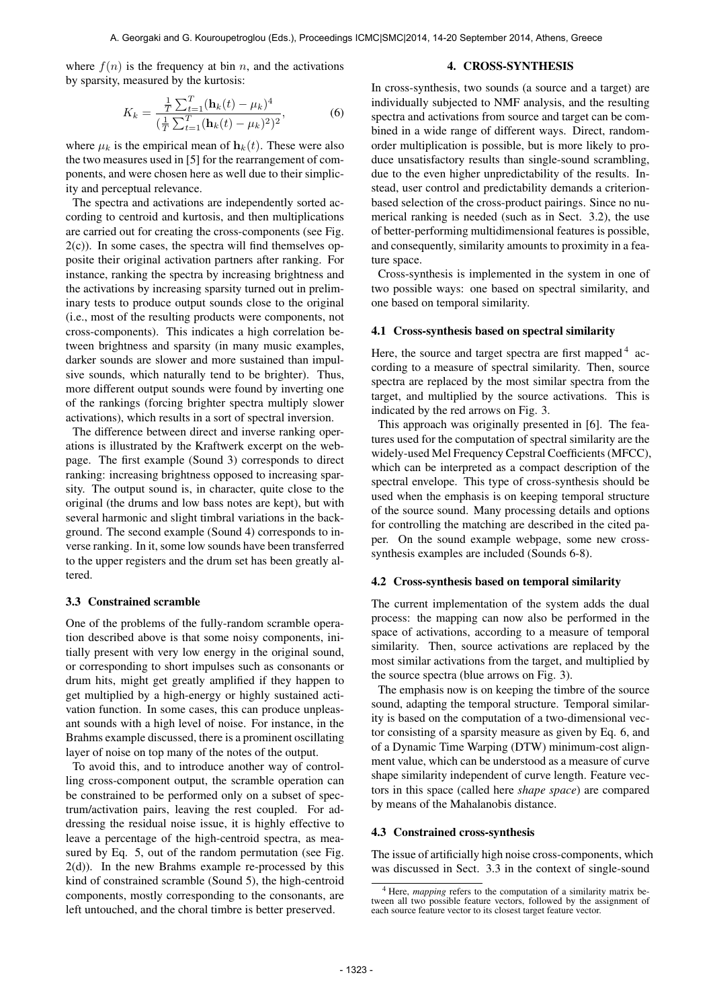where  $f(n)$  is the frequency at bin n, and the activations by sparsity, measured by the kurtosis:

#### $K_k =$  $\frac{1}{T} \sum_{t=1}^{T} (\mathbf{h}_k(t) - \mu_k)^4$  $(\frac{1}{T}\sum_{t=1}^{T}(\mathbf{h}_k(t)-\mu_k)^2)^2$  $(6)$

where  $\mu_k$  is the empirical mean of  $\mathbf{h}_k(t)$ . These were also the two measures used in [5] for the rearrangement of components, and were chosen here as well due to their simplicity and perceptual relevance.

The spectra and activations are independently sorted according to centroid and kurtosis, and then multiplications are carried out for creating the cross-components (see Fig.  $2(c)$ ). In some cases, the spectra will find themselves opposite their original activation partners after ranking. For instance, ranking the spectra by increasing brightness and the activations by increasing sparsity turned out in preliminary tests to produce output sounds close to the original (i.e., most of the resulting products were components, not cross-components). This indicates a high correlation between brightness and sparsity (in many music examples, darker sounds are slower and more sustained than impulsive sounds, which naturally tend to be brighter). Thus, more different output sounds were found by inverting one of the rankings (forcing brighter spectra multiply slower activations), which results in a sort of spectral inversion.

The difference between direct and inverse ranking operations is illustrated by the Kraftwerk excerpt on the webpage. The first example (Sound 3) corresponds to direct ranking: increasing brightness opposed to increasing sparsity. The output sound is, in character, quite close to the original (the drums and low bass notes are kept), but with several harmonic and slight timbral variations in the background. The second example (Sound 4) corresponds to inverse ranking. In it, some low sounds have been transferred to the upper registers and the drum set has been greatly altered.

## 3.3 Constrained scramble

One of the problems of the fully-random scramble operation described above is that some noisy components, initially present with very low energy in the original sound, or corresponding to short impulses such as consonants or drum hits, might get greatly amplified if they happen to get multiplied by a high-energy or highly sustained activation function. In some cases, this can produce unpleasant sounds with a high level of noise. For instance, in the Brahms example discussed, there is a prominent oscillating layer of noise on top many of the notes of the output.

To avoid this, and to introduce another way of controlling cross-component output, the scramble operation can be constrained to be performed only on a subset of spectrum/activation pairs, leaving the rest coupled. For addressing the residual noise issue, it is highly effective to leave a percentage of the high-centroid spectra, as measured by Eq. 5, out of the random permutation (see Fig.  $2(d)$ ). In the new Brahms example re-processed by this kind of constrained scramble (Sound 5), the high-centroid components, mostly corresponding to the consonants, are left untouched, and the choral timbre is better preserved.

### 4. CROSS-SYNTHESIS

In cross-synthesis, two sounds (a source and a target) are individually subjected to NMF analysis, and the resulting spectra and activations from source and target can be combined in a wide range of different ways. Direct, randomorder multiplication is possible, but is more likely to produce unsatisfactory results than single-sound scrambling, due to the even higher unpredictability of the results. Instead, user control and predictability demands a criterionbased selection of the cross-product pairings. Since no numerical ranking is needed (such as in Sect. 3.2), the use of better-performing multidimensional features is possible, and consequently, similarity amounts to proximity in a feature space.

Cross-synthesis is implemented in the system in one of two possible ways: one based on spectral similarity, and one based on temporal similarity.

## 4.1 Cross-synthesis based on spectral similarity

Here, the source and target spectra are first mapped<sup>4</sup> according to a measure of spectral similarity. Then, source spectra are replaced by the most similar spectra from the target, and multiplied by the source activations. This is indicated by the red arrows on Fig. 3.

This approach was originally presented in [6]. The features used for the computation of spectral similarity are the widely-used Mel Frequency Cepstral Coefficients (MFCC), which can be interpreted as a compact description of the spectral envelope. This type of cross-synthesis should be used when the emphasis is on keeping temporal structure of the source sound. Many processing details and options for controlling the matching are described in the cited paper. On the sound example webpage, some new crosssynthesis examples are included (Sounds 6-8).

## 4.2 Cross-synthesis based on temporal similarity

The current implementation of the system adds the dual process: the mapping can now also be performed in the space of activations, according to a measure of temporal similarity. Then, source activations are replaced by the most similar activations from the target, and multiplied by the source spectra (blue arrows on Fig. 3).

The emphasis now is on keeping the timbre of the source sound, adapting the temporal structure. Temporal similarity is based on the computation of a two-dimensional vector consisting of a sparsity measure as given by Eq. 6, and of a Dynamic Time Warping (DTW) minimum-cost alignment value, which can be understood as a measure of curve shape similarity independent of curve length. Feature vectors in this space (called here *shape space*) are compared by means of the Mahalanobis distance.

### 4.3 Constrained cross-synthesis

The issue of artificially high noise cross-components, which was discussed in Sect. 3.3 in the context of single-sound

<sup>&</sup>lt;sup>4</sup> Here, *mapping* refers to the computation of a similarity matrix be-<br>tween all two possible feature vectors, followed by the assignment of each source feature vector to its closest target feature vector.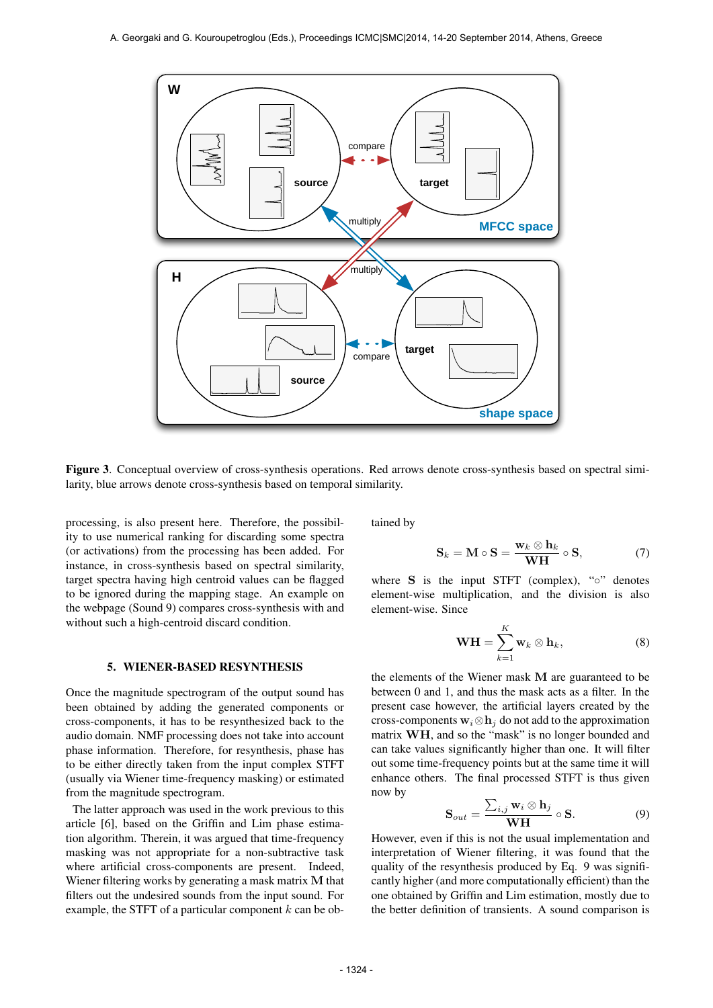

Figure 3. Conceptual overview of cross-synthesis operations. Red arrows denote cross-synthesis based on spectral similarity, blue arrows denote cross-synthesis based on temporal similarity.

processing, is also present here. Therefore, the possibility to use numerical ranking for discarding some spectra (or activations) from the processing has been added. For instance, in cross-synthesis based on spectral similarity, target spectra having high centroid values can be flagged to be ignored during the mapping stage. An example on the webpage (Sound 9) compares cross-synthesis with and without such a high-centroid discard condition.

## 5. WIENER-BASED RESYNTHESIS

Once the magnitude spectrogram of the output sound has been obtained by adding the generated components or cross-components, it has to be resynthesized back to the audio domain. NMF processing does not take into account phase information. Therefore, for resynthesis, phase has to be either directly taken from the input complex STFT (usually via Wiener time-frequency masking) or estimated from the magnitude spectrogram.

The latter approach was used in the work previous to this article [6], based on the Griffin and Lim phase estimation algorithm. Therein, it was argued that time-frequency masking was not appropriate for a non-subtractive task where artificial cross-components are present. Indeed, Wiener filtering works by generating a mask matrix M that filters out the undesired sounds from the input sound. For example, the STFT of a particular component  $k$  can be obtained by

$$
\mathbf{S}_k = \mathbf{M} \circ \mathbf{S} = \frac{\mathbf{w}_k \otimes \mathbf{h}_k}{\mathbf{W}\mathbf{H}} \circ \mathbf{S},\tag{7}
$$

where  $S$  is the input STFT (complex), " $\circ$ " denotes element-wise multiplication, and the division is also element-wise. Since

$$
\mathbf{WH} = \sum_{k=1}^{K} \mathbf{w}_k \otimes \mathbf{h}_k, \tag{8}
$$

the elements of the Wiener mask M are guaranteed to be between 0 and 1, and thus the mask acts as a filter. In the present case however, the artificial layers created by the cross-components  $w_i \otimes h_j$  do not add to the approximation matrix WH, and so the "mask" is no longer bounded and can take values significantly higher than one. It will filter out some time-frequency points but at the same time it will enhance others. The final processed STFT is thus given now by

$$
\mathbf{S}_{out} = \frac{\sum_{i,j} \mathbf{w}_i \otimes \mathbf{h}_j}{\mathbf{W} \mathbf{H}} \circ \mathbf{S}.
$$
 (9)

However, even if this is not the usual implementation and interpretation of Wiener filtering, it was found that the quality of the resynthesis produced by Eq. 9 was significantly higher (and more computationally efficient) than the one obtained by Griffin and Lim estimation, mostly due to the better definition of transients. A sound comparison is